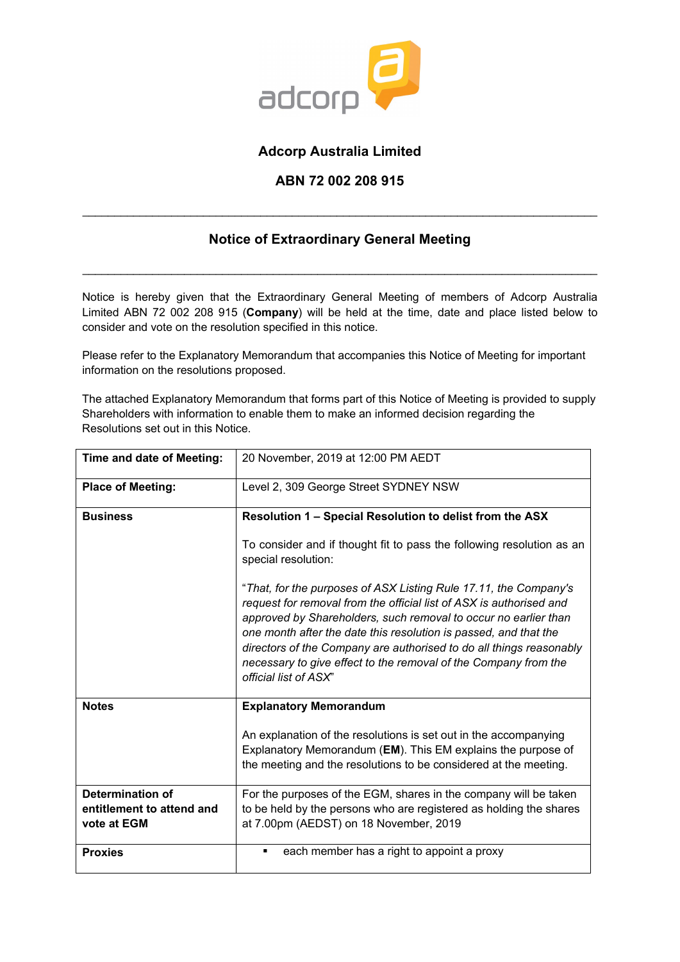

# **Adcorp Australia Limited**

## **ABN 72 002 208 915**

# **Notice of Extraordinary General Meeting**

\_\_\_\_\_\_\_\_\_\_\_\_\_\_\_\_\_\_\_\_\_\_\_\_\_\_\_\_\_\_\_\_\_\_\_\_\_\_\_\_\_\_\_\_\_\_\_\_\_\_\_\_\_\_\_\_\_\_\_\_\_\_\_\_\_\_\_\_\_\_\_\_\_\_\_\_\_\_\_\_\_

\_\_\_\_\_\_\_\_\_\_\_\_\_\_\_\_\_\_\_\_\_\_\_\_\_\_\_\_\_\_\_\_\_\_\_\_\_\_\_\_\_\_\_\_\_\_\_\_\_\_\_\_\_\_\_\_\_\_\_\_\_\_\_\_\_\_\_\_\_\_\_\_\_\_\_\_\_\_\_\_\_

Notice is hereby given that the Extraordinary General Meeting of members of Adcorp Australia Limited ABN 72 002 208 915 (**Company**) will be held at the time, date and place listed below to consider and vote on the resolution specified in this notice.

Please refer to the Explanatory Memorandum that accompanies this Notice of Meeting for important information on the resolutions proposed.

The attached Explanatory Memorandum that forms part of this Notice of Meeting is provided to supply Shareholders with information to enable them to make an informed decision regarding the Resolutions set out in this Notice.

| Time and date of Meeting:                                           | 20 November, 2019 at 12:00 PM AEDT                                                                                                                                                                                                                                                                                                                                                                                                                |  |  |  |  |
|---------------------------------------------------------------------|---------------------------------------------------------------------------------------------------------------------------------------------------------------------------------------------------------------------------------------------------------------------------------------------------------------------------------------------------------------------------------------------------------------------------------------------------|--|--|--|--|
| <b>Place of Meeting:</b>                                            | Level 2, 309 George Street SYDNEY NSW                                                                                                                                                                                                                                                                                                                                                                                                             |  |  |  |  |
| <b>Business</b>                                                     | Resolution 1 – Special Resolution to delist from the ASX                                                                                                                                                                                                                                                                                                                                                                                          |  |  |  |  |
|                                                                     | To consider and if thought fit to pass the following resolution as an<br>special resolution:                                                                                                                                                                                                                                                                                                                                                      |  |  |  |  |
|                                                                     | "That, for the purposes of ASX Listing Rule 17.11, the Company's<br>request for removal from the official list of ASX is authorised and<br>approved by Shareholders, such removal to occur no earlier than<br>one month after the date this resolution is passed, and that the<br>directors of the Company are authorised to do all things reasonably<br>necessary to give effect to the removal of the Company from the<br>official list of ASX" |  |  |  |  |
| <b>Notes</b>                                                        | <b>Explanatory Memorandum</b>                                                                                                                                                                                                                                                                                                                                                                                                                     |  |  |  |  |
|                                                                     | An explanation of the resolutions is set out in the accompanying<br>Explanatory Memorandum (EM). This EM explains the purpose of<br>the meeting and the resolutions to be considered at the meeting.                                                                                                                                                                                                                                              |  |  |  |  |
| <b>Determination of</b><br>entitlement to attend and<br>vote at EGM | For the purposes of the EGM, shares in the company will be taken<br>to be held by the persons who are registered as holding the shares<br>at 7.00pm (AEDST) on 18 November, 2019                                                                                                                                                                                                                                                                  |  |  |  |  |
| <b>Proxies</b>                                                      | each member has a right to appoint a proxy<br>٠                                                                                                                                                                                                                                                                                                                                                                                                   |  |  |  |  |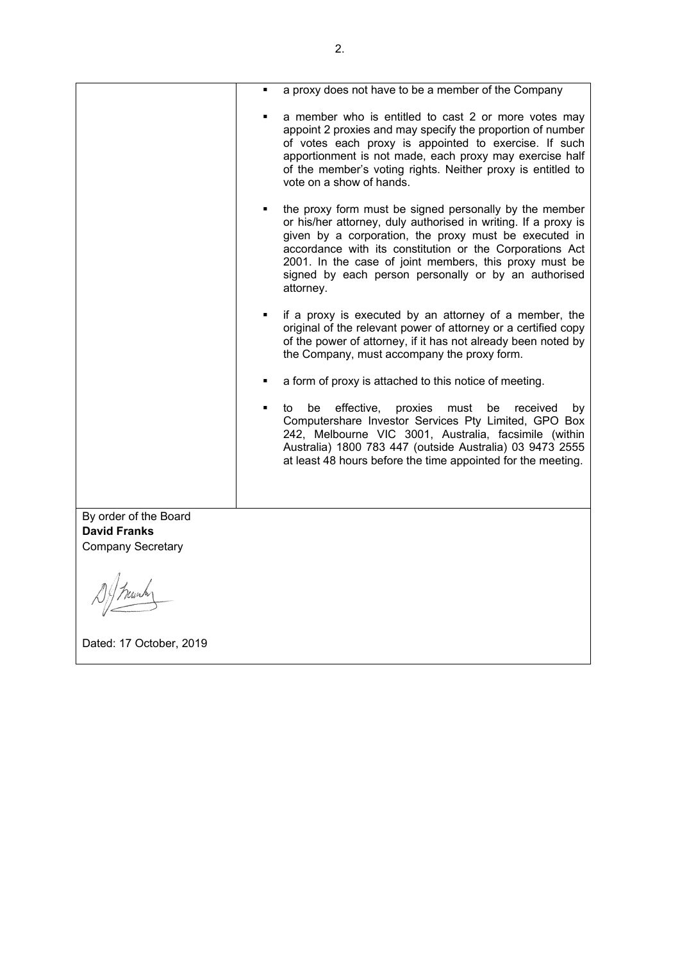|                                              | a proxy does not have to be a member of the Company                                                                                                                                                                                                                                                                                                                          |  |  |  |  |
|----------------------------------------------|------------------------------------------------------------------------------------------------------------------------------------------------------------------------------------------------------------------------------------------------------------------------------------------------------------------------------------------------------------------------------|--|--|--|--|
|                                              | a member who is entitled to cast 2 or more votes may<br>appoint 2 proxies and may specify the proportion of number<br>of votes each proxy is appointed to exercise. If such<br>apportionment is not made, each proxy may exercise half<br>of the member's voting rights. Neither proxy is entitled to<br>vote on a show of hands.                                            |  |  |  |  |
|                                              | the proxy form must be signed personally by the member<br>or his/her attorney, duly authorised in writing. If a proxy is<br>given by a corporation, the proxy must be executed in<br>accordance with its constitution or the Corporations Act<br>2001. In the case of joint members, this proxy must be<br>signed by each person personally or by an authorised<br>attorney. |  |  |  |  |
|                                              | if a proxy is executed by an attorney of a member, the<br>$\blacksquare$<br>original of the relevant power of attorney or a certified copy<br>of the power of attorney, if it has not already been noted by<br>the Company, must accompany the proxy form.                                                                                                                   |  |  |  |  |
|                                              | a form of proxy is attached to this notice of meeting.                                                                                                                                                                                                                                                                                                                       |  |  |  |  |
|                                              | effective,<br>be<br>proxies<br>must<br>received<br>be<br>to<br>by<br>Computershare Investor Services Pty Limited, GPO Box<br>242, Melbourne VIC 3001, Australia, facsimile (within<br>Australia) 1800 783 447 (outside Australia) 03 9473 2555<br>at least 48 hours before the time appointed for the meeting.                                                               |  |  |  |  |
|                                              |                                                                                                                                                                                                                                                                                                                                                                              |  |  |  |  |
| By order of the Board<br><b>David Franks</b> |                                                                                                                                                                                                                                                                                                                                                                              |  |  |  |  |
| <b>Company Secretary</b>                     |                                                                                                                                                                                                                                                                                                                                                                              |  |  |  |  |
|                                              |                                                                                                                                                                                                                                                                                                                                                                              |  |  |  |  |
| Dated: 17 October, 2019                      |                                                                                                                                                                                                                                                                                                                                                                              |  |  |  |  |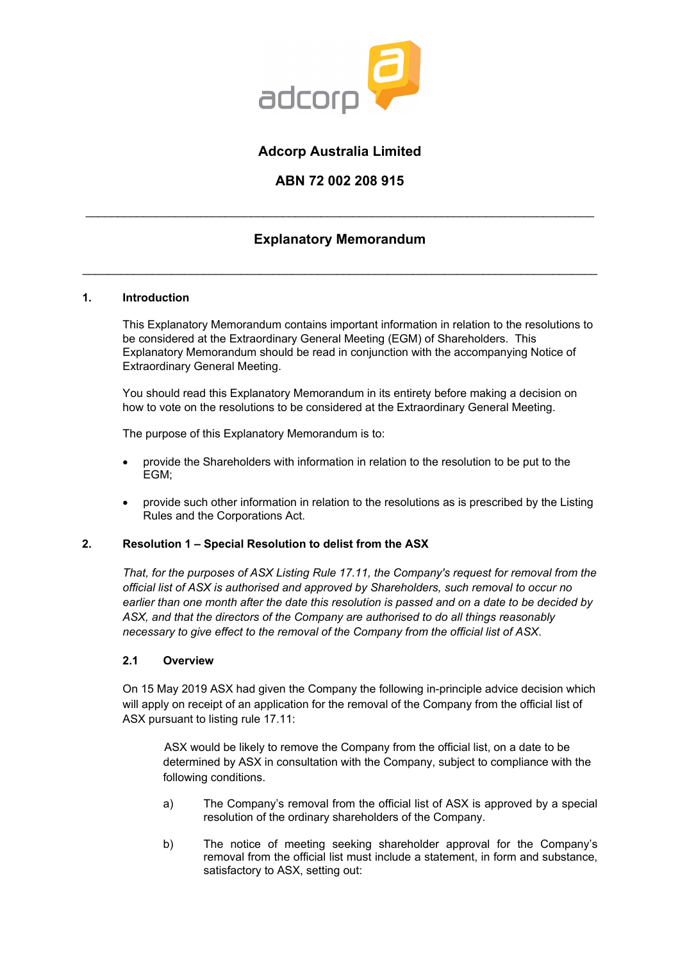

# **Adcorp Australia Limited**

## **ABN 72 002 208 915**

# **Explanatory Memorandum**

\_\_\_\_\_\_\_\_\_\_\_\_\_\_\_\_\_\_\_\_\_\_\_\_\_\_\_\_\_\_\_\_\_\_\_\_\_\_\_\_\_\_\_\_\_\_\_\_\_\_\_\_\_\_\_\_\_\_\_\_\_\_\_\_\_\_\_\_\_\_\_\_\_\_\_\_\_\_\_\_\_

\_\_\_\_\_\_\_\_\_\_\_\_\_\_\_\_\_\_\_\_\_\_\_\_\_\_\_\_\_\_\_\_\_\_\_\_\_\_\_\_\_\_\_\_\_\_\_\_\_\_\_\_\_\_\_\_\_\_\_\_\_\_\_\_\_\_\_\_\_\_\_\_\_\_\_\_\_\_\_\_

## **1. Introduction**

This Explanatory Memorandum contains important information in relation to the resolutions to be considered at the Extraordinary General Meeting (EGM) of Shareholders. This Explanatory Memorandum should be read in conjunction with the accompanying Notice of Extraordinary General Meeting.

You should read this Explanatory Memorandum in its entirety before making a decision on how to vote on the resolutions to be considered at the Extraordinary General Meeting.

The purpose of this Explanatory Memorandum is to:

- provide the Shareholders with information in relation to the resolution to be put to the EGM;
- provide such other information in relation to the resolutions as is prescribed by the Listing Rules and the Corporations Act.

## **2. Resolution 1 – Special Resolution to delist from the ASX**

*That, for the purposes of ASX Listing Rule 17.11, the Company's request for removal from the official list of ASX is authorised and approved by Shareholders, such removal to occur no earlier than one month after the date this resolution is passed and on a date to be decided by ASX, and that the directors of the Company are authorised to do all things reasonably necessary to give effect to the removal of the Company from the official list of ASX*.

## **2.1 Overview**

On 15 May 2019 ASX had given the Company the following in-principle advice decision which will apply on receipt of an application for the removal of the Company from the official list of ASX pursuant to listing rule 17.11:

ASX would be likely to remove the Company from the official list, on a date to be determined by ASX in consultation with the Company, subject to compliance with the following conditions.

- a) The Company's removal from the official list of ASX is approved by a special resolution of the ordinary shareholders of the Company.
- b) The notice of meeting seeking shareholder approval for the Company's removal from the official list must include a statement, in form and substance, satisfactory to ASX, setting out: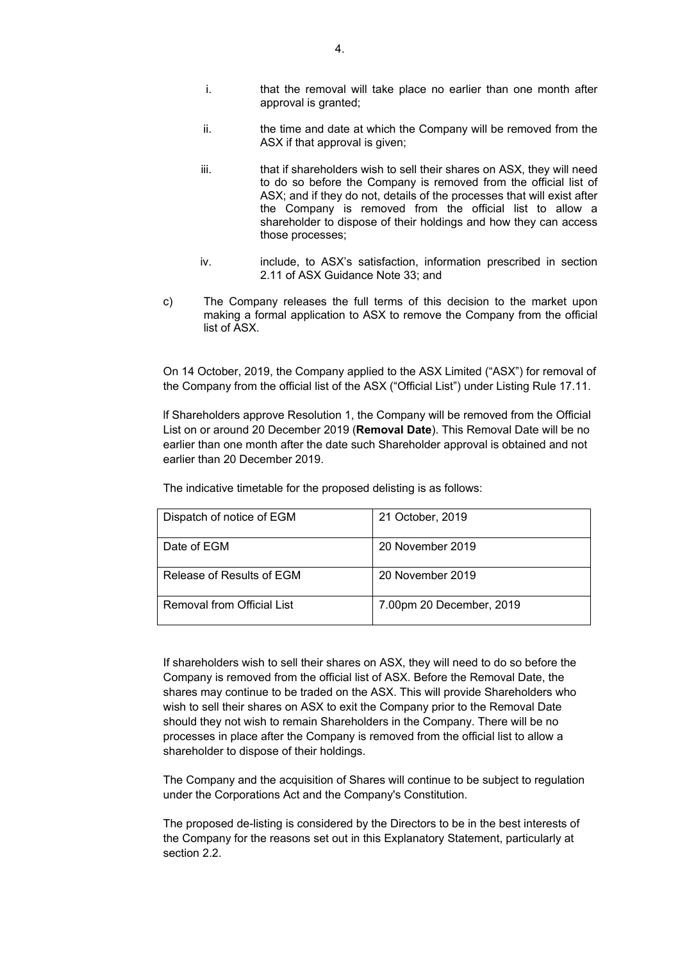- i. that the removal will take place no earlier than one month after approval is granted;
- ii. the time and date at which the Company will be removed from the ASX if that approval is given;
- iii. that if shareholders wish to sell their shares on ASX, they will need to do so before the Company is removed from the official list of ASX; and if they do not, details of the processes that will exist after the Company is removed from the official list to allow a shareholder to dispose of their holdings and how they can access those processes;
- iv. include, to ASX's satisfaction, information prescribed in section 2.11 of ASX Guidance Note 33; and
- c) The Company releases the full terms of this decision to the market upon making a formal application to ASX to remove the Company from the official list of ASX.

On 14 October, 2019, the Company applied to the ASX Limited ("ASX") for removal of the Company from the official list of the ASX ("Official List") under Listing Rule 17.11.

lf Shareholders approve Resolution 1, the Company will be removed from the Official List on or around 20 December 2019 (**Removal Date**). This Removal Date will be no earlier than one month after the date such Shareholder approval is obtained and not earlier than 20 December 2019.

| Dispatch of notice of EGM  | 21 October, 2019         |
|----------------------------|--------------------------|
| Date of EGM                | 20 November 2019         |
| Release of Results of EGM  | 20 November 2019         |
| Removal from Official List | 7.00pm 20 December, 2019 |

The indicative timetable for the proposed delisting is as follows:

If shareholders wish to sell their shares on ASX, they will need to do so before the Company is removed from the official list of ASX. Before the Removal Date, the shares may continue to be traded on the ASX. This will provide Shareholders who wish to sell their shares on ASX to exit the Company prior to the Removal Date should they not wish to remain Shareholders in the Company. There will be no processes in place after the Company is removed from the official list to allow a shareholder to dispose of their holdings.

The Company and the acquisition of Shares will continue to be subject to regulation under the Corporations Act and the Company's Constitution.

The proposed de-listing is considered by the Directors to be in the best interests of the Company for the reasons set out in this Explanatory Statement, particularly at section [2.2.](#page-4-0)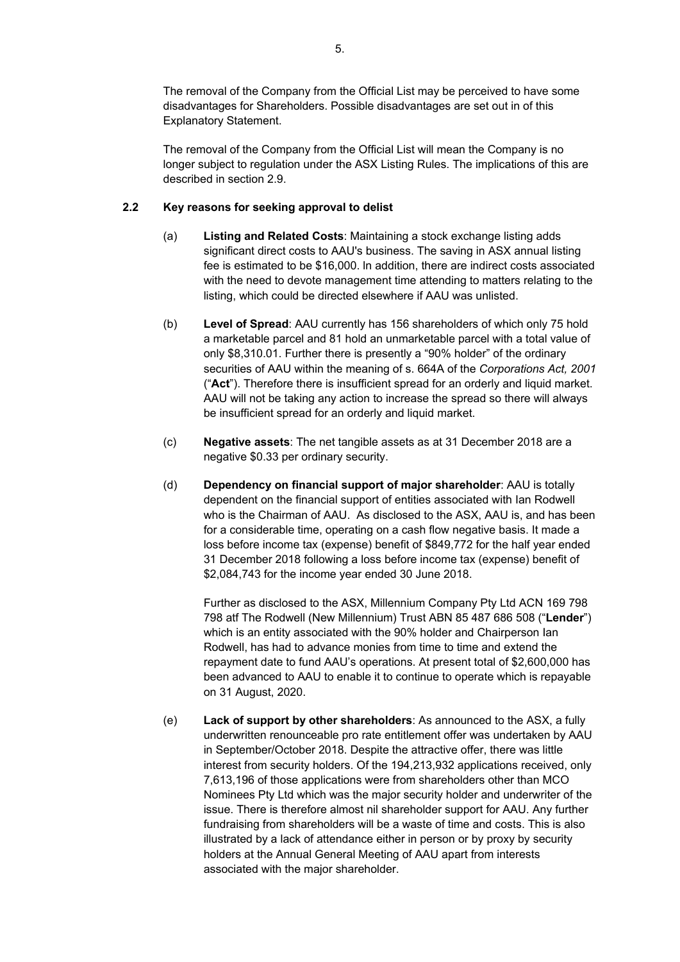The removal of the Company from the Official List may be perceived to have some disadvantages for Shareholders. Possible disadvantages are set out in of this Explanatory Statement.

The removal of the Company from the Official List will mean the Company is no longer subject to regulation under the ASX Listing Rules. The implications of this are described in section 2.9.

## <span id="page-4-0"></span>**2.2 Key reasons for seeking approval to delist**

- (a) **Listing and Related Costs**: Maintaining a stock exchange listing adds significant direct costs to AAU's business. The saving in ASX annual listing fee is estimated to be \$16,000. ln addition, there are indirect costs associated with the need to devote management time attending to matters relating to the listing, which could be directed elsewhere if AAU was unlisted.
- (b) **Level of Spread**: AAU currently has 156 shareholders of which only 75 hold a marketable parcel and 81 hold an unmarketable parcel with a total value of only \$8,310.01. Further there is presently a "90% holder" of the ordinary securities of AAU within the meaning of s. 664A of the *Corporations Act, 2001* ("**Act**"). Therefore there is insufficient spread for an orderly and liquid market. AAU will not be taking any action to increase the spread so there will always be insufficient spread for an orderly and liquid market.
- (c) **Negative assets**: The net tangible assets as at 31 December 2018 are a negative \$0.33 per ordinary security.
- (d) **Dependency on financial support of major shareholder**: AAU is totally dependent on the financial support of entities associated with Ian Rodwell who is the Chairman of AAU. As disclosed to the ASX, AAU is, and has been for a considerable time, operating on a cash flow negative basis. It made a loss before income tax (expense) benefit of \$849,772 for the half year ended 31 December 2018 following a loss before income tax (expense) benefit of \$2,084,743 for the income year ended 30 June 2018.

Further as disclosed to the ASX, Millennium Company Pty Ltd ACN 169 798 798 atf The Rodwell (New Millennium) Trust ABN 85 487 686 508 ("**Lender**") which is an entity associated with the 90% holder and Chairperson Ian Rodwell, has had to advance monies from time to time and extend the repayment date to fund AAU's operations. At present total of \$2,600,000 has been advanced to AAU to enable it to continue to operate which is repayable on 31 August, 2020.

(e) **Lack of support by other shareholders**: As announced to the ASX, a fully underwritten renounceable pro rate entitlement offer was undertaken by AAU in September/October 2018. Despite the attractive offer, there was little interest from security holders. Of the 194,213,932 applications received, only 7,613,196 of those applications were from shareholders other than MCO Nominees Pty Ltd which was the major security holder and underwriter of the issue. There is therefore almost nil shareholder support for AAU. Any further fundraising from shareholders will be a waste of time and costs. This is also illustrated by a lack of attendance either in person or by proxy by security holders at the Annual General Meeting of AAU apart from interests associated with the major shareholder.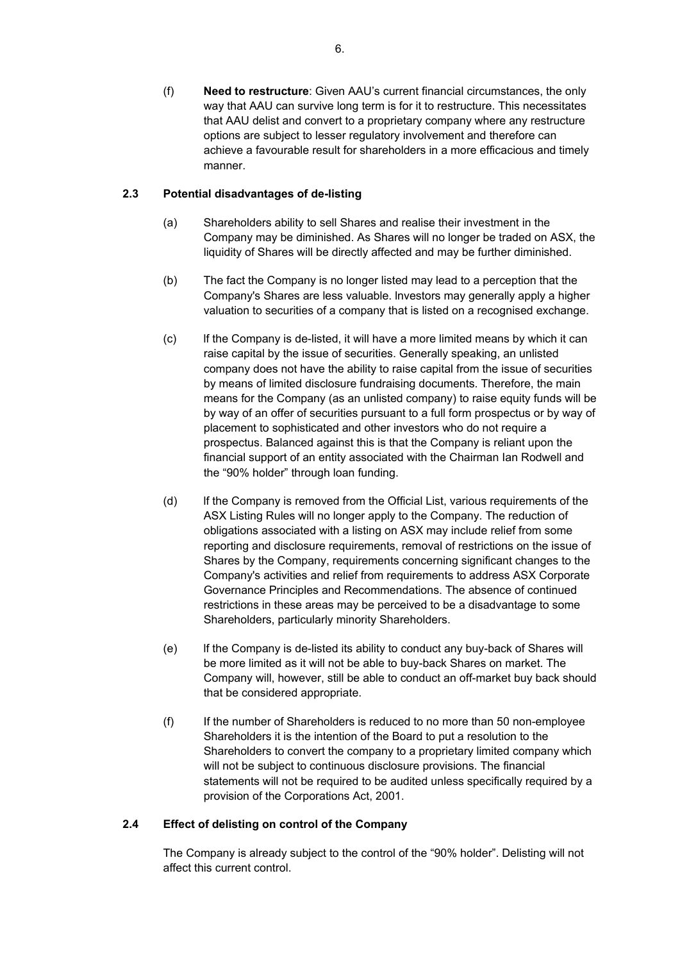(f) **Need to restructure**: Given AAU's current financial circumstances, the only way that AAU can survive long term is for it to restructure. This necessitates that AAU delist and convert to a proprietary company where any restructure options are subject to lesser regulatory involvement and therefore can achieve a favourable result for shareholders in a more efficacious and timely manner.

## **2.3 Potential disadvantages of de-listing**

- (a) Shareholders ability to sell Shares and realise their investment in the Company may be diminished. As Shares will no longer be traded on ASX, the liquidity of Shares will be directly affected and may be further diminished.
- (b) The fact the Company is no longer listed may lead to a perception that the Company's Shares are less valuable. lnvestors may generally apply a higher valuation to securities of a company that is listed on a recognised exchange.
- (c) lf the Company is de-listed, it will have a more limited means by which it can raise capital by the issue of securities. Generally speaking, an unlisted company does not have the ability to raise capital from the issue of securities by means of limited disclosure fundraising documents. Therefore, the main means for the Company (as an unlisted company) to raise equity funds will be by way of an offer of securities pursuant to a full form prospectus or by way of placement to sophisticated and other investors who do not require a prospectus. Balanced against this is that the Company is reliant upon the financial support of an entity associated with the Chairman Ian Rodwell and the "90% holder" through loan funding.
- (d) lf the Company is removed from the Official List, various requirements of the ASX Listing Rules will no longer apply to the Company. The reduction of obligations associated with a listing on ASX may include relief from some reporting and disclosure requirements, removal of restrictions on the issue of Shares by the Company, requirements concerning significant changes to the Company's activities and relief from requirements to address ASX Corporate Governance Principles and Recommendations. The absence of continued restrictions in these areas may be perceived to be a disadvantage to some Shareholders, particularly minority Shareholders.
- (e) lf the Company is de-listed its ability to conduct any buy-back of Shares will be more limited as it will not be able to buy-back Shares on market. The Company will, however, still be able to conduct an off-market buy back should that be considered appropriate.
- (f) If the number of Shareholders is reduced to no more than 50 non-employee Shareholders it is the intention of the Board to put a resolution to the Shareholders to convert the company to a proprietary limited company which will not be subject to continuous disclosure provisions. The financial statements will not be required to be audited unless specifically required by a provision of the Corporations Act, 2001.

## **2.4 Effect of delisting on control of the Company**

The Company is already subject to the control of the "90% holder". Delisting will not affect this current control.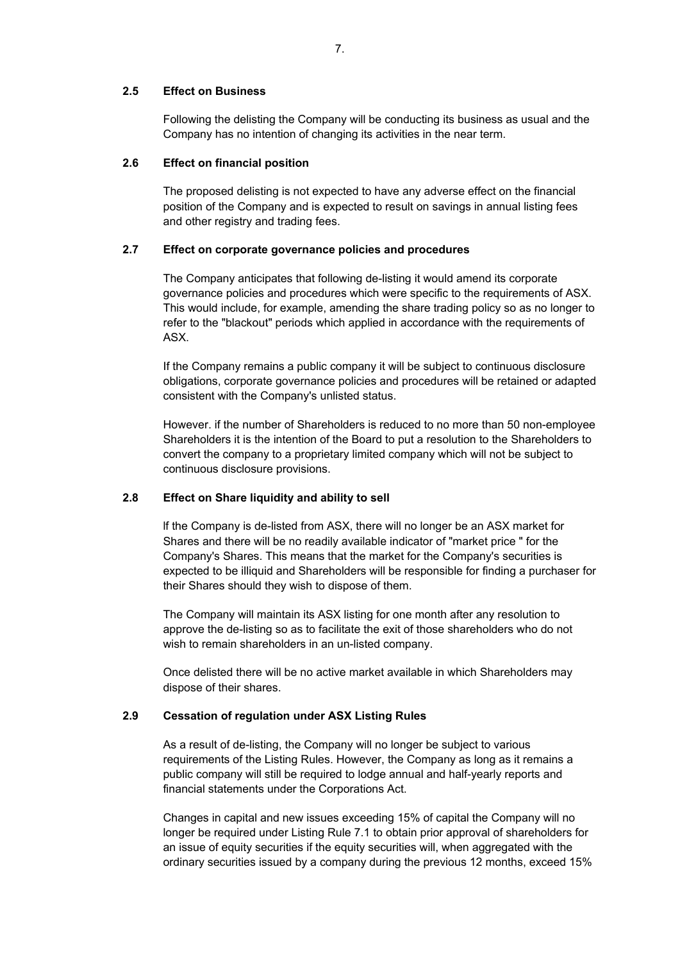#### **2.5 Effect on Business**

Following the delisting the Company will be conducting its business as usual and the Company has no intention of changing its activities in the near term.

#### **2.6 Effect on financial position**

The proposed delisting is not expected to have any adverse effect on the financial position of the Company and is expected to result on savings in annual listing fees and other registry and trading fees.

## **2.7 Effect on corporate governance policies and procedures**

The Company anticipates that following de-listing it would amend its corporate governance policies and procedures which were specific to the requirements of ASX. This would include, for example, amending the share trading policy so as no longer to refer to the "blackout" periods which applied in accordance with the requirements of ASX.

If the Company remains a public company it will be subject to continuous disclosure obligations, corporate governance policies and procedures will be retained or adapted consistent with the Company's unlisted status.

However. if the number of Shareholders is reduced to no more than 50 non-employee Shareholders it is the intention of the Board to put a resolution to the Shareholders to convert the company to a proprietary limited company which will not be subject to continuous disclosure provisions.

#### **2.8 Effect on Share liquidity and ability to sell**

lf the Company is de-listed from ASX, there will no longer be an ASX market for Shares and there will be no readily available indicator of "market price " for the Company's Shares. This means that the market for the Company's securities is expected to be illiquid and Shareholders will be responsible for finding a purchaser for their Shares should they wish to dispose of them.

The Company will maintain its ASX listing for one month after any resolution to approve the de-listing so as to facilitate the exit of those shareholders who do not wish to remain shareholders in an un-listed company.

Once delisted there will be no active market available in which Shareholders may dispose of their shares.

#### **2.9 Cessation of regulation under ASX Listing Rules**

As a result of de-listing, the Company will no longer be subject to various requirements of the Listing Rules. However, the Company as long as it remains a public company will still be required to lodge annual and half-yearly reports and financial statements under the Corporations Act.

Changes in capital and new issues exceeding 15% of capital the Company will no longer be required under Listing Rule 7.1 to obtain prior approval of shareholders for an issue of equity securities if the equity securities will, when aggregated with the ordinary securities issued by a company during the previous 12 months, exceed 15%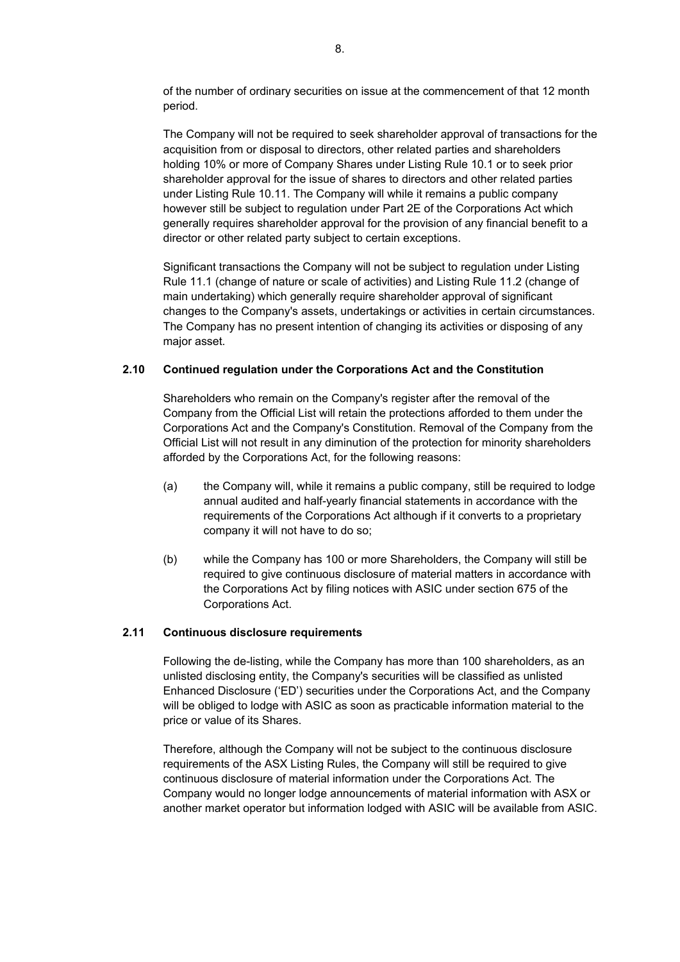of the number of ordinary securities on issue at the commencement of that 12 month period.

The Company will not be required to seek shareholder approval of transactions for the acquisition from or disposal to directors, other related parties and shareholders holding 10% or more of Company Shares under Listing Rule 10.1 or to seek prior shareholder approval for the issue of shares to directors and other related parties under Listing Rule 10.11. The Company will while it remains a public company however still be subject to regulation under Part 2E of the Corporations Act which generally requires shareholder approval for the provision of any financial benefit to a director or other related party subject to certain exceptions.

Significant transactions the Company will not be subject to regulation under Listing Rule 11.1 (change of nature or scale of activities) and Listing Rule 11.2 (change of main undertaking) which generally require shareholder approval of significant changes to the Company's assets, undertakings or activities in certain circumstances. The Company has no present intention of changing its activities or disposing of any major asset.

#### **2.10 Continued regulation under the Corporations Act and the Constitution**

Shareholders who remain on the Company's register after the removal of the Company from the Official List will retain the protections afforded to them under the Corporations Act and the Company's Constitution. Removal of the Company from the Official List will not result in any diminution of the protection for minority shareholders afforded by the Corporations Act, for the following reasons:

- (a) the Company will, while it remains a public company, still be required to lodge annual audited and half-yearly financial statements in accordance with the requirements of the Corporations Act although if it converts to a proprietary company it will not have to do so;
- (b) while the Company has 100 or more Shareholders, the Company will still be required to give continuous disclosure of material matters in accordance with the Corporations Act by filing notices with ASIC under section 675 of the Corporations Act.

#### **2.11 Continuous disclosure requirements**

Following the de-listing, while the Company has more than 100 shareholders, as an unlisted disclosing entity, the Company's securities will be classified as unlisted Enhanced Disclosure ('ED') securities under the Corporations Act, and the Company will be obliged to lodge with ASIC as soon as practicable information material to the price or value of its Shares.

Therefore, although the Company will not be subject to the continuous disclosure requirements of the ASX Listing Rules, the Company will still be required to give continuous disclosure of material information under the Corporations Act. The Company would no longer lodge announcements of material information with ASX or another market operator but information lodged with ASIC will be available from ASIC.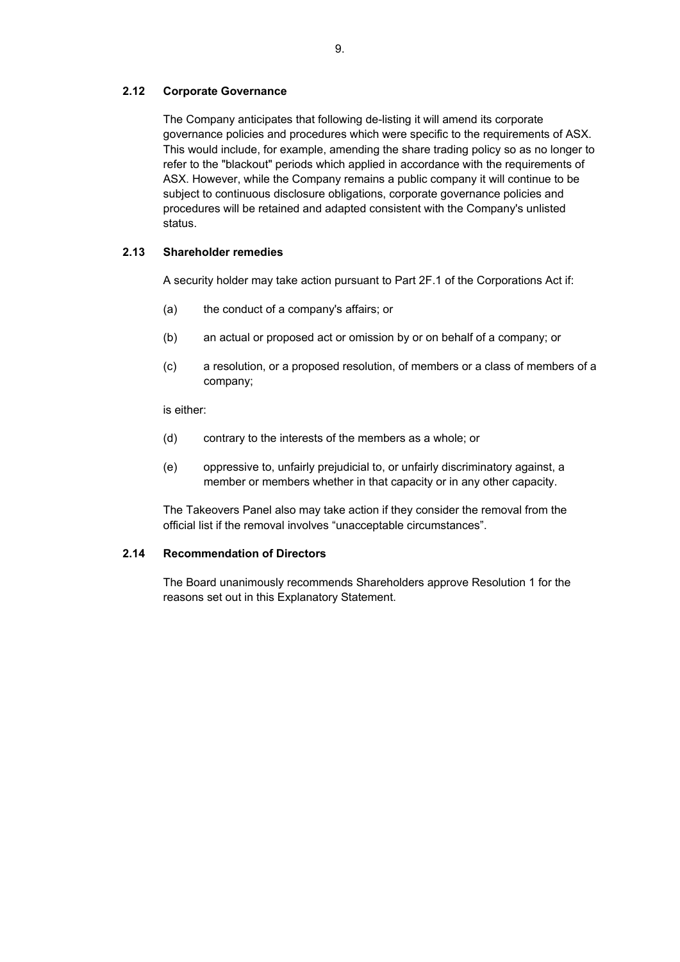## **2.12 Corporate Governance**

The Company anticipates that following de-listing it will amend its corporate governance policies and procedures which were specific to the requirements of ASX. This would include, for example, amending the share trading policy so as no longer to refer to the "blackout" periods which applied in accordance with the requirements of ASX. However, while the Company remains a public company it will continue to be subject to continuous disclosure obligations, corporate governance policies and procedures will be retained and adapted consistent with the Company's unlisted status.

## **2.13 Shareholder remedies**

A security holder may take action pursuant to Part 2F.1 of the Corporations Act if:

- (a) the conduct of a company's affairs; or
- (b) an actual or proposed act or omission by or on behalf of a company; or
- (c) a resolution, or a proposed resolution, of members or a class of members of a company;

is either:

- (d) contrary to the interests of the members as a whole; or
- (e) oppressive to, unfairly prejudicial to, or unfairly discriminatory against, a member or members whether in that capacity or in any other capacity.

The Takeovers Panel also may take action if they consider the removal from the official list if the removal involves "unacceptable circumstances".

#### **2.14 Recommendation of Directors**

The Board unanimously recommends Shareholders approve Resolution 1 for the reasons set out in this Explanatory Statement.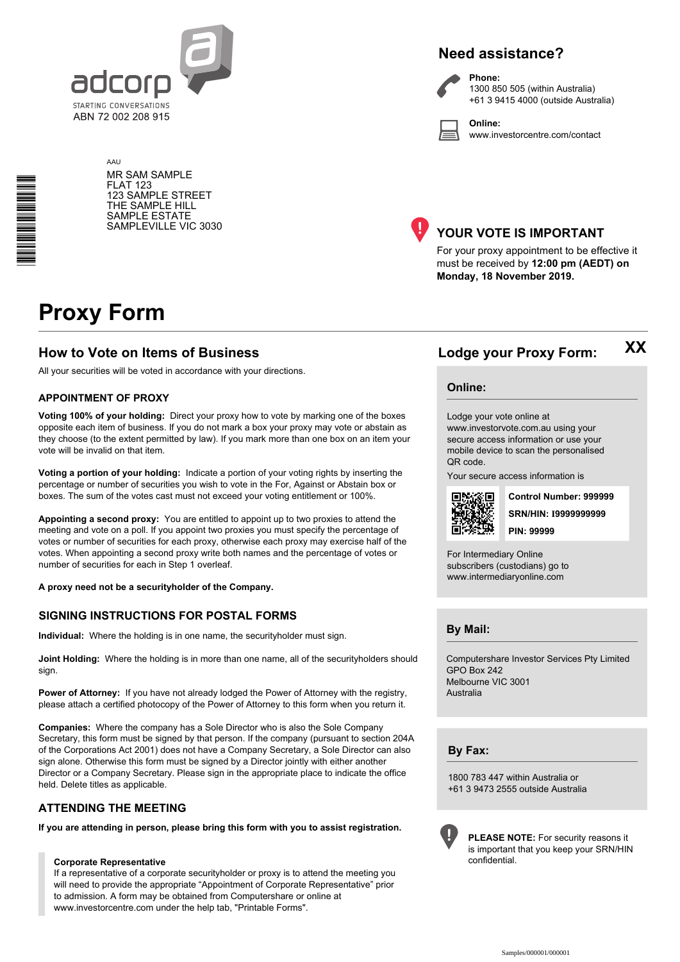

# **Need assistance?**



**Phone:** 1300 850 505 (within Australia) +61 3 9415 4000 (outside Australia)

**Online:** www.investorcentre.com/contact

AAU MR SAM SAMPLE FLAT 123 123 SAMPLE STREET THE SAMPLE HILL SAMPLE ESTATE SAMPLEVILLE VIC 3030



## **YOUR VOTE IS IMPORTANT**

For your proxy appointment to be effective it must be received by **12:00 pm (AEDT) on Monday, 18 November 2019.**

# **Proxy Form**

\*<br>\* London<br>Timografia

## **How to Vote on Items of Business Lodge your Proxy Form:**

All your securities will be voted in accordance with your directions.

#### **APPOINTMENT OF PROXY**

**Voting 100% of your holding:** Direct your proxy how to vote by marking one of the boxes opposite each item of business. If you do not mark a box your proxy may vote or abstain as they choose (to the extent permitted by law). If you mark more than one box on an item your vote will be invalid on that item.

**Voting a portion of your holding:** Indicate a portion of your voting rights by inserting the percentage or number of securities you wish to vote in the For, Against or Abstain box or boxes. The sum of the votes cast must not exceed your voting entitlement or 100%.

**Appointing a second proxy:** You are entitled to appoint up to two proxies to attend the meeting and vote on a poll. If you appoint two proxies you must specify the percentage of votes or number of securities for each proxy, otherwise each proxy may exercise half of the votes. When appointing a second proxy write both names and the percentage of votes or number of securities for each in Step 1 overleaf.

**A proxy need not be a securityholder of the Company.**

#### **SIGNING INSTRUCTIONS FOR POSTAL FORMS**

**Individual:** Where the holding is in one name, the securityholder must sign.

**Joint Holding:** Where the holding is in more than one name, all of the securityholders should sign.

**Power of Attorney:** If you have not already lodged the Power of Attorney with the registry, please attach a certified photocopy of the Power of Attorney to this form when you return it.

**Companies:** Where the company has a Sole Director who is also the Sole Company Secretary, this form must be signed by that person. If the company (pursuant to section 204A of the Corporations Act 2001) does not have a Company Secretary, a Sole Director can also sign alone. Otherwise this form must be signed by a Director jointly with either another Director or a Company Secretary. Please sign in the appropriate place to indicate the office held. Delete titles as applicable.

#### **ATTENDING THE MEETING**

**If you are attending in person, please bring this form with you to assist registration.**

#### **Corporate Representative**

If a representative of a corporate securityholder or proxy is to attend the meeting you will need to provide the appropriate "Appointment of Corporate Representative" prior to admission. A form may be obtained from Computershare or online at www.investorcentre.com under the help tab, "Printable Forms".

**XX**

#### **Online:**

Lodge your vote online at www.investorvote.com.au using your secure access information or use your mobile device to scan the personalised QR code.

Your secure access information is



**SRN/HIN: I9999999999 Control Number: 999999 PIN: 99999**

For Intermediary Online subscribers (custodians) go to www.intermediaryonline.com

**By Mail:**

Computershare Investor Services Pty Limited GPO Box 242 Melbourne VIC 3001 Australia

**By Fax:**

1800 783 447 within Australia or +61 3 9473 2555 outside Australia



**PLEASE NOTE:** For security reasons it is important that you keep your SRN/HIN confidential.